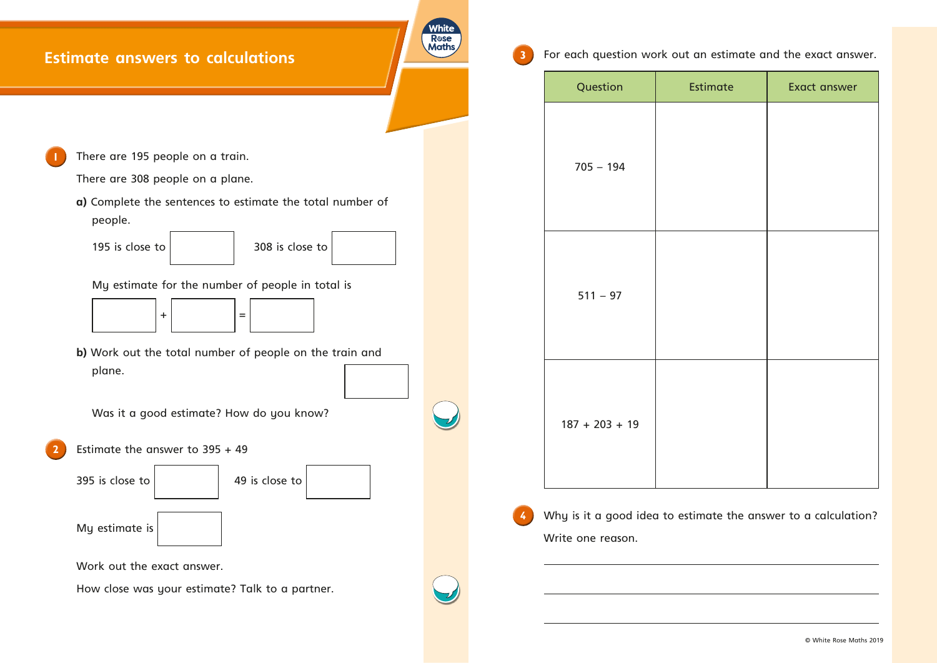

 $\boldsymbol{f}$  $\bullet$  $\overline{\phantom{a}}$  $\mathbf{H}$  $\ldots$  +  $\cdot$  $\dagger$   $\dots$  $\ddagger$  $\ldots$ 

> $\bullet\quad \bullet$  $\bullet$

|       | € |           |            |
|-------|---|-----------|------------|
| $\in$ |   | $\bullet$ |            |
|       |   |           |            |
|       |   |           |            |
|       |   |           |            |
|       |   |           |            |
|       |   |           |            |
|       |   |           |            |
|       |   |           |            |
|       |   |           |            |
|       |   |           |            |
|       |   |           |            |
|       |   |           |            |
|       |   |           |            |
|       |   |           |            |
|       |   |           |            |
|       |   |           |            |
|       |   |           |            |
|       |   | $\%$      | $\ddagger$ |